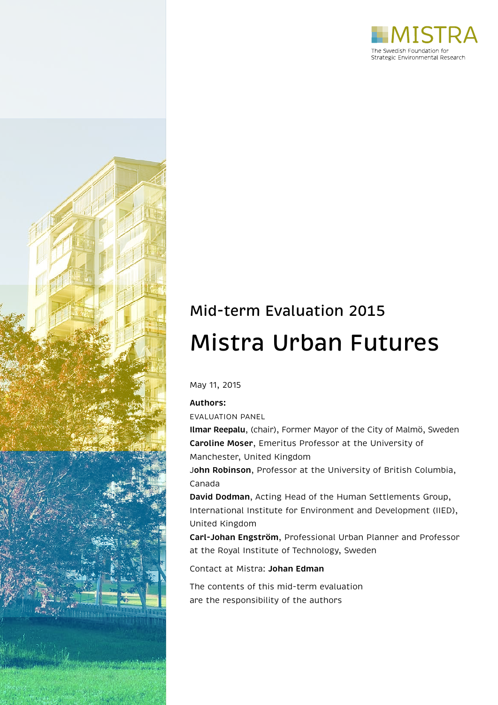



# Mid-term Evaluation 2015 Mistra Urban Futures

May 11, 2015

### **Authors:**

EVALUATION PANEL

**Ilmar Reepalu**, (chair), Former Mayor of the City of Malmö, Sweden **Caroline Moser**, Emeritus Professor at the University of Manchester, United Kingdom

J**ohn Robinson**, Professor at the University of British Columbia, Canada

**David Dodman**, Acting Head of the Human Settlements Group, International Institute for Environment and Development (IIED), United Kingdom

**Carl-Johan Engström**, Professional Urban Planner and Professor at the Royal Institute of Technology, Sweden

Contact at Mistra: **Johan Edman**

The contents of this mid-term evaluation are the responsibility of the authors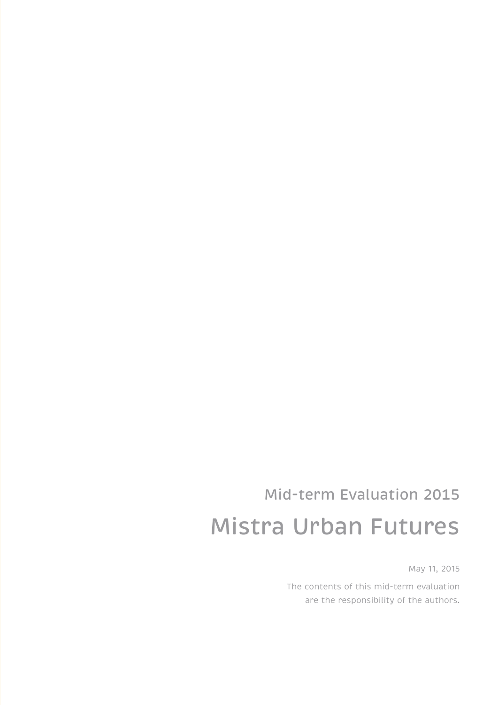# Mid-term Evaluation 2015 Mistra Urban Futures

May 11, 2015

The contents of this mid-term evaluation are the responsibility of the authors.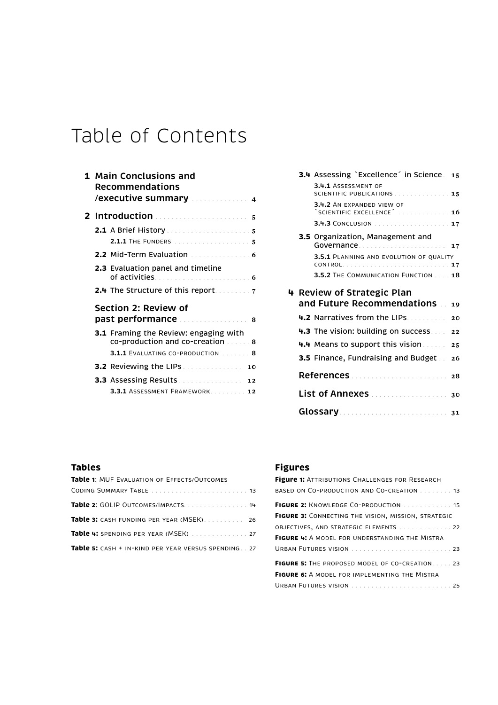## Table of Contents

| <b>1 Main Conclusions and</b><br><b>Recommendations</b>                  |
|--------------------------------------------------------------------------|
|                                                                          |
|                                                                          |
| 2.1.1 THE FUNDERS <b>International Control of 5</b>                      |
| <b>2.2</b> Mid-Term Evaluation $\ldots$ 6                                |
| <b>2.3</b> Evaluation panel and timeline                                 |
| <b>2.4</b> The Structure of this report.                                 |
| Section 2: Review of<br>past performance 8                               |
| 3.1 Framing the Review: engaging with<br>co-production and co-creation 8 |
|                                                                          |
| <b>3.2</b> Reviewing the LIPs <b>Constitution</b><br>10                  |
| <b>3.3</b> Assessing Results <b>Action</b> 22                            |
| 3.3.1 ASSESSMENT FRAMEWORK 12                                            |

|  | <b>3.4</b> Assessing `Excellence´ in Science 15                                   |  |
|--|-----------------------------------------------------------------------------------|--|
|  | 3.4.1 ASSESSMENT OF<br>SCIENTIFIC PUBLICATIONS 15                                 |  |
|  | 3.4.2 AN EXPANDED VIEW OF<br>$\textdegree$ SCIENTIFIC EXCELLENCE $\textdegree$ 16 |  |
|  | 3.4.3 CONCLUSION 17                                                               |  |
|  | 3.5 Organization, Management and<br>Governance 17                                 |  |
|  | 3.5.1 PLANNING AND EVOLUTION OF OUALITY                                           |  |
|  | 3.5.2 THE COMMUNICATION FUNCTION  18                                              |  |
|  | 4 Review of Strategic Plan                                                        |  |
|  | and Future Recommendations . 19                                                   |  |
|  | 4.2 Narratives from the LIPs. 20                                                  |  |
|  | <b>4.3</b> The vision: building on success $22$                                   |  |
|  | 4.4 Means to support this vision 25                                               |  |
|  | <b>3.5</b> Finance, Fundraising and Budget . 26                                   |  |
|  |                                                                                   |  |
|  | List of Annexes 30                                                                |  |
|  |                                                                                   |  |

## **Tables**

| <b>Table 1: MUF EVALUATION OF EFFECTS/OUTCOMES</b>            |
|---------------------------------------------------------------|
|                                                               |
| Table 2: GOLIP OUTCOMES/IMPACTS. 14                           |
| Table 3: CASH FUNDING PER YEAR (MSEK) 26                      |
| Table 4: SPENDING PER YEAR (MSEK)  27                         |
| <b>Table 5:</b> CASH + IN-KIND PER YEAR VERSUS SPENDING. . 27 |

## **Figures**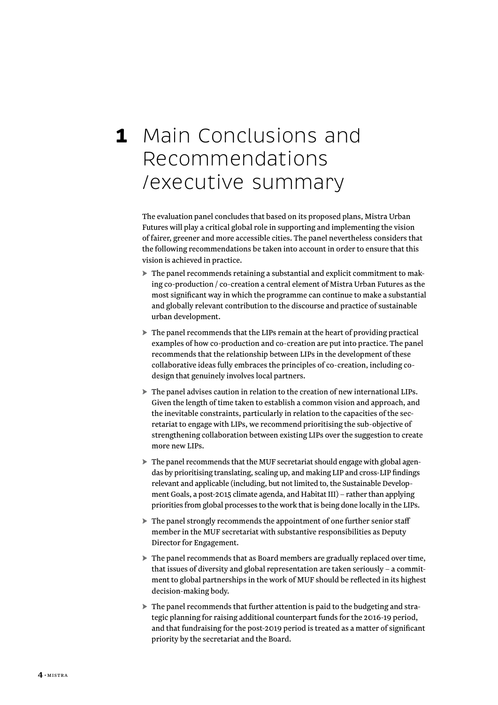## <span id="page-5-0"></span>**1** Main Conclusions and Recommendations /executive summary

The evaluation panel concludes that based on its proposed plans, Mistra Urban Futures will play a critical global role in supporting and implementing the vision of fairer, greener and more accessible cities. The panel nevertheless considers that the following recommendations be taken into account in order to ensure that this vision is achieved in practice.

- ► The panel recommends retaining a substantial and explicit commitment to making co-production / co-creation a central element of Mistra Urban Futures as the most significant way in which the programme can continue to make a substantial and globally relevant contribution to the discourse and practice of sustainable urban development.
- ► The panel recommends that the LIPs remain at the heart of providing practical examples of how co-production and co-creation are put into practice. The panel recommends that the relationship between LIPs in the development of these collaborative ideas fully embraces the principles of co-creation, including codesign that genuinely involves local partners.
- ► The panel advises caution in relation to the creation of new international LIPs. Given the length of time taken to establish a common vision and approach, and the inevitable constraints, particularly in relation to the capacities of the secretariat to engage with LIPs, we recommend prioritising the sub-objective of strengthening collaboration between existing LIPs over the suggestion to create more new LIPs.
- ► The panel recommends that the MUF secretariat should engage with global agendas by prioritising translating, scaling up, and making LIP and cross-LIP findings relevant and applicable (including, but not limited to, the Sustainable Development Goals, a post-2015 climate agenda, and Habitat III) – rather than applying priorities from global processes to the work that is being done locally in the LIPs.
- ► The panel strongly recommends the appointment of one further senior staff member in the MUF secretariat with substantive responsibilities as Deputy Director for Engagement.
- ► The panel recommends that as Board members are gradually replaced over time, that issues of diversity and global representation are taken seriously – a commitment to global partnerships in the work of MUF should be reflected in its highest decision-making body.
- ► The panel recommends that further attention is paid to the budgeting and strategic planning for raising additional counterpart funds for the 2016-19 period, and that fundraising for the post-2019 period is treated as a matter of significant priority by the secretariat and the Board.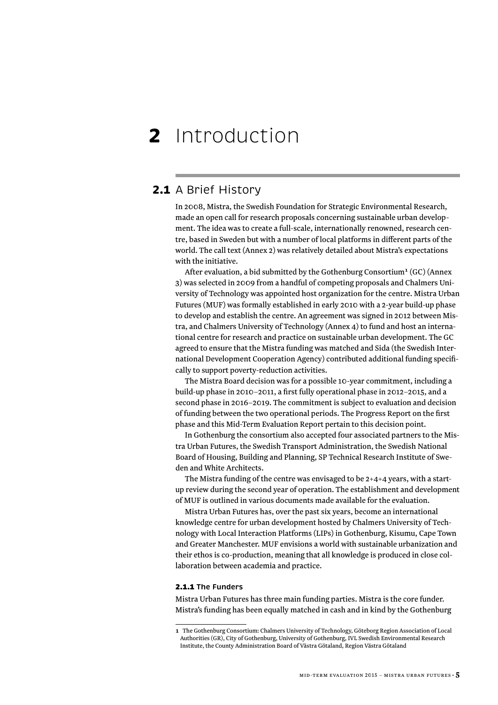## <span id="page-6-0"></span>**2** Introduction

### **2.1** A Brief History

In 2008, Mistra, the Swedish Foundation for Strategic Environmental Research, made an open call for research proposals concerning sustainable urban development. The idea was to create a full-scale, internationally renowned, research centre, based in Sweden but with a number of local platforms in different parts of the world. The call text (Annex 2) was relatively detailed about Mistra's expectations with the initiative.

After evaluation, a bid submitted by the Gothenburg Consortium**<sup>1</sup>** (GC) (Annex 3) was selected in 2009 from a handful of competing proposals and Chalmers University of Technology was appointed host organization for the centre. Mistra Urban Futures (MUF) was formally established in early 2010 with a 2-year build-up phase to develop and establish the centre. An agreement was signed in 2012 between Mistra, and Chalmers University of Technology (Annex 4) to fund and host an international centre for research and practice on sustainable urban development. The GC agreed to ensure that the Mistra funding was matched and Sida (the Swedish International Development Cooperation Agency) contributed additional funding specifically to support poverty-reduction activities.

The Mistra Board decision was for a possible 10-year commitment, including a build-up phase in 2010–2011, a first fully operational phase in 2012–2015, and a second phase in 2016–2019. The commitment is subject to evaluation and decision of funding between the two operational periods. The Progress Report on the first phase and this Mid-Term Evaluation Report pertain to this decision point.

In Gothenburg the consortium also accepted four associated partners to the Mistra Urban Futures, the Swedish Transport Administration, the Swedish National Board of Housing, Building and Planning, SP Technical Research Institute of Sweden and White Architects.

The Mistra funding of the centre was envisaged to be 2+4+4 years, with a startup review during the second year of operation. The establishment and development of MUF is outlined in various documents made available for the evaluation.

Mistra Urban Futures has, over the past six years, become an international knowledge centre for urban development hosted by Chalmers University of Technology with Local Interaction Platforms (LIPs) in Gothenburg, Kisumu, Cape Town and Greater Manchester. MUF envisions a world with sustainable urbanization and their ethos is co-production, meaning that all knowledge is produced in close collaboration between academia and practice.

#### 2.1.1 **The Funders**

Mistra Urban Futures has three main funding parties. Mistra is the core funder. Mistra's funding has been equally matched in cash and in kind by the Gothenburg

**<sup>1</sup>** The Gothenburg Consortium: Chalmers University of Technology, Göteborg Region Association of Local Authorities (GR), City of Gothenburg, University of Gothenburg, IVL Swedish Environmental Research Institute, the County Administration Board of Västra Götaland, Region Västra Götaland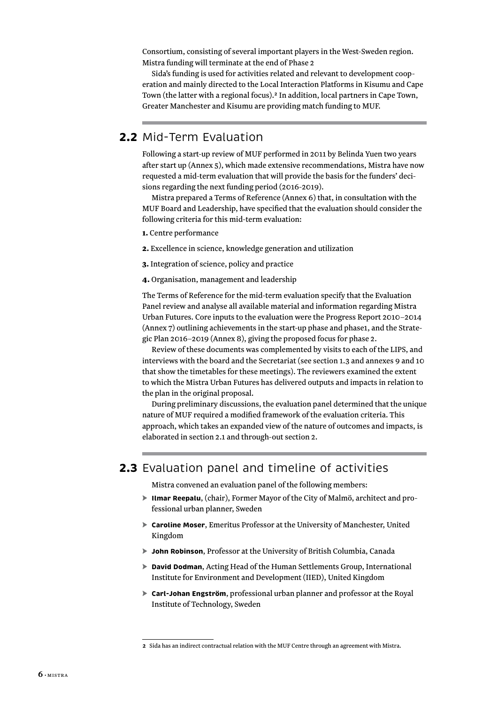<span id="page-7-0"></span>Consortium, consisting of several important players in the West-Sweden region. Mistra funding will terminate at the end of Phase 2

Sida's funding is used for activities related and relevant to development cooperation and mainly directed to the Local Interaction Platforms in Kisumu and Cape Town (the latter with a regional focus).**<sup>2</sup>** In addition, local partners in Cape Town, Greater Manchester and Kisumu are providing match funding to MUF.

## **2.2** Mid-Term Evaluation

Following a start-up review of MUF performed in 2011 by Belinda Yuen two years after start up (Annex 5), which made extensive recommendations, Mistra have now requested a mid-term evaluation that will provide the basis for the funders' decisions regarding the next funding period (2016-2019).

Mistra prepared a Terms of Reference (Annex 6) that, in consultation with the MUF Board and Leadership, have specified that the evaluation should consider the following criteria for this mid-term evaluation:

- 1. Centre performance
- 2. Excellence in science, knowledge generation and utilization
- 3. Integration of science, policy and practice
- 4. Organisation, management and leadership

The Terms of Reference for the mid-term evaluation specify that the Evaluation Panel review and analyse all available material and information regarding Mistra Urban Futures. Core inputs to the evaluation were the Progress Report 2010–2014 (Annex 7) outlining achievements in the start-up phase and phase1, and the Strategic Plan 2016–2019 (Annex 8), giving the proposed focus for phase 2.

Review of these documents was complemented by visits to each of the LIPS, and interviews with the board and the Secretariat (see section 1.3 and annexes 9 and 10 that show the timetables for these meetings). The reviewers examined the extent to which the Mistra Urban Futures has delivered outputs and impacts in relation to the plan in the original proposal.

During preliminary discussions, the evaluation panel determined that the unique nature of MUF required a modified framework of the evaluation criteria. This approach, which takes an expanded view of the nature of outcomes and impacts, is elaborated in section 2.1 and through-out section 2.

### **2.3** Evaluation panel and timeline of activities

Mistra convened an evaluation panel of the following members:

- ► **Ilmar Reepalu**, (chair), Former Mayor of the City of Malmö, architect and professional urban planner, Sweden
- ► **Caroline Moser**, Emeritus Professor at the University of Manchester, United Kingdom
- ► **John Robinson**, Professor at the University of British Columbia, Canada
- ► **David Dodman**, Acting Head of the Human Settlements Group, International Institute for Environment and Development (IIED), United Kingdom
- ► **Carl-Johan Engström**, professional urban planner and professor at the Royal Institute of Technology, Sweden

**<sup>2</sup>** Sida has an indirect contractual relation with the MUF Centre through an agreement with Mistra.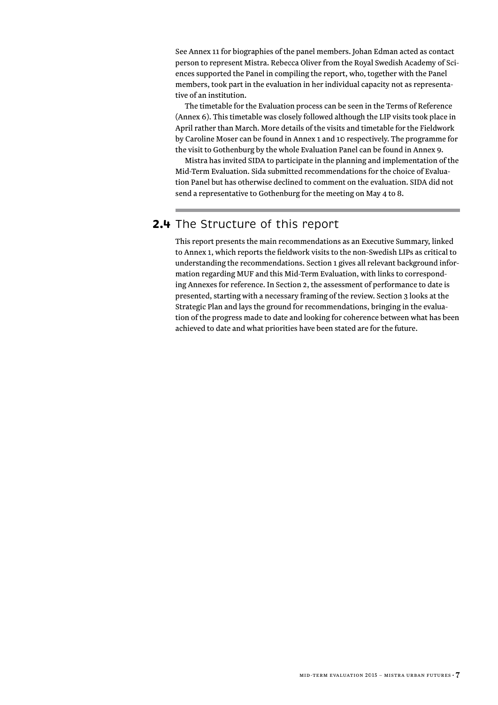<span id="page-8-0"></span>See Annex 11 for biographies of the panel members. Johan Edman acted as contact person to represent Mistra. Rebecca Oliver from the Royal Swedish Academy of Sciences supported the Panel in compiling the report, who, together with the Panel members, took part in the evaluation in her individual capacity not as representative of an institution.

The timetable for the Evaluation process can be seen in the Terms of Reference (Annex 6). This timetable was closely followed although the LIP visits took place in April rather than March. More details of the visits and timetable for the Fieldwork by Caroline Moser can be found in Annex 1 and 10 respectively. The programme for the visit to Gothenburg by the whole Evaluation Panel can be found in Annex 9.

Mistra has invited SIDA to participate in the planning and implementation of the Mid-Term Evaluation. Sida submitted recommendations for the choice of Evaluation Panel but has otherwise declined to comment on the evaluation. SIDA did not send a representative to Gothenburg for the meeting on May 4 to 8.

## **2.4** The Structure of this report

This report presents the main recommendations as an Executive Summary, linked to Annex 1, which reports the fieldwork visits to the non-Swedish LIPs as critical to understanding the recommendations. Section 1 gives all relevant background information regarding MUF and this Mid-Term Evaluation, with links to corresponding Annexes for reference. In Section 2, the assessment of performance to date is presented, starting with a necessary framing of the review. Section 3 looks at the Strategic Plan and lays the ground for recommendations, bringing in the evaluation of the progress made to date and looking for coherence between what has been achieved to date and what priorities have been stated are for the future.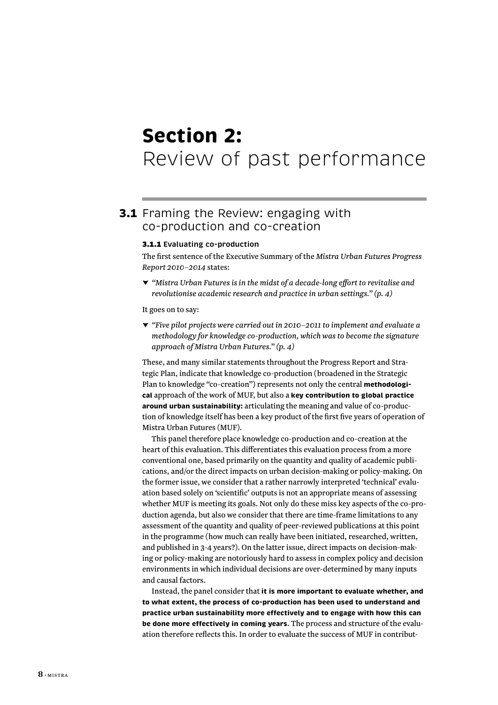## <span id="page-9-0"></span> **Section 2:** Review of past performance

## **3.1** Framing the Review: engaging with co-production and co-creation

#### 3.1.1 **Evaluating co-production**

The first sentence of the Executive Summary of the *Mistra Urban Futures Progress Report 2010–2014* states:

*▼ "Mistra Urban Futures is in the midst of a decade-long effort to revitalise and revolutionise academic research and practice in urban settings." (p. 4)*

It goes on to say:

*▼ "Five pilot projects were carried out in 2010–2011 to implement and evaluate a methodology for knowledge co-production, which was to become the signature approach of Mistra Urban Futures." (p. 4)*

These, and many similar statements throughout the Progress Report and Strategic Plan, indicate that knowledge co-production (broadened in the Strategic Plan to knowledge "co-creation") represents not only the central **methodological** approach of the work of MUF, but also a **key contribution to global practice around urban sustainability:** articulating the meaning and value of co-production of knowledge itself has been a key product of the first five years of operation of Mistra Urban Futures (MUF).

This panel therefore place knowledge co-production and co-creation at the heart of this evaluation. This differentiates this evaluation process from a more conventional one, based primarily on the quantity and quality of academic publications, and/or the direct impacts on urban decision-making or policy-making. On the former issue, we consider that a rather narrowly interpreted 'technical' evaluation based solely on 'scientific' outputs is not an appropriate means of assessing whether MUF is meeting its goals. Not only do these miss key aspects of the co-production agenda, but also we consider that there are time-frame limitations to any assessment of the quantity and quality of peer-reviewed publications at this point in the programme (how much can really have been initiated, researched, written, and published in 3-4 years?). On the latter issue, direct impacts on decision-making or policy-making are notoriously hard to assess in complex policy and decision environments in which individual decisions are over-determined by many inputs and causal factors.

Instead, the panel consider that **it is more important to evaluate whether, and to what extent, the process of co-production has been used to understand and practice urban sustainability more effectively and to engage with how this can be done more effectively in coming years**. The process and structure of the evaluation therefore reflects this. In order to evaluate the success of MUF in contribut-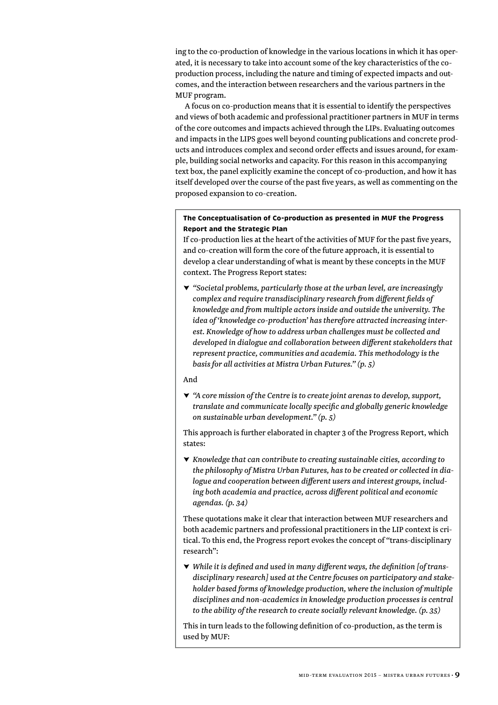ing to the co-production of knowledge in the various locations in which it has operated, it is necessary to take into account some of the key characteristics of the coproduction process, including the nature and timing of expected impacts and outcomes, and the interaction between researchers and the various partners in the MUF program.

A focus on co-production means that it is essential to identify the perspectives and views of both academic and professional practitioner partners in MUF in terms of the core outcomes and impacts achieved through the LIPs. Evaluating outcomes and impacts in the LIPS goes well beyond counting publications and concrete products and introduces complex and second order effects and issues around, for example, building social networks and capacity. For this reason in this accompanying text box, the panel explicitly examine the concept of co-production, and how it has itself developed over the course of the past five years, as well as commenting on the proposed expansion to co-creation.

#### **The Conceptualisation of Co-production as presented in MUF the Progress Report and the Strategic Plan**

If co-production lies at the heart of the activities of MUF for the past five years, and co-creation will form the core of the future approach, it is essential to develop a clear understanding of what is meant by these concepts in the MUF context. The Progress Report states:

*▼ "Societal problems, particularly those at the urban level, are increasingly complex and require transdisciplinary research from different fields of knowledge and from multiple actors inside and outside the university. The idea of 'knowledge co-production' has therefore attracted increasing interest. Knowledge of how to address urban challenges must be collected and developed in dialogue and collaboration between different stakeholders that represent practice, communities and academia. This methodology is the basis for all activities at Mistra Urban Futures." (p. 5)*

#### And

*▼ "A core mission of the Centre is to create joint arenas to develop, support, translate and communicate locally specific and globally generic knowledge on sustainable urban development." (p. 5)*

This approach is further elaborated in chapter 3 of the Progress Report, which states:

*▼ Knowledge that can contribute to creating sustainable cities, according to the philosophy of Mistra Urban Futures, has to be created or collected in dialogue and cooperation between different users and interest groups, including both academia and practice, across different political and economic agendas. (p. 34)*

These quotations make it clear that interaction between MUF researchers and both academic partners and professional practitioners in the LIP context is critical. To this end, the Progress report evokes the concept of "trans-disciplinary research":

*▼ While it is defined and used in many different ways, the definition [of transdisciplinary research] used at the Centre focuses on participatory and stakeholder based forms of knowledge production, where the inclusion of multiple disciplines and non-academics in knowledge production processes is central to the ability of the research to create socially relevant knowledge. (p. 35)*

This in turn leads to the following definition of co-production, as the term is used by MUF: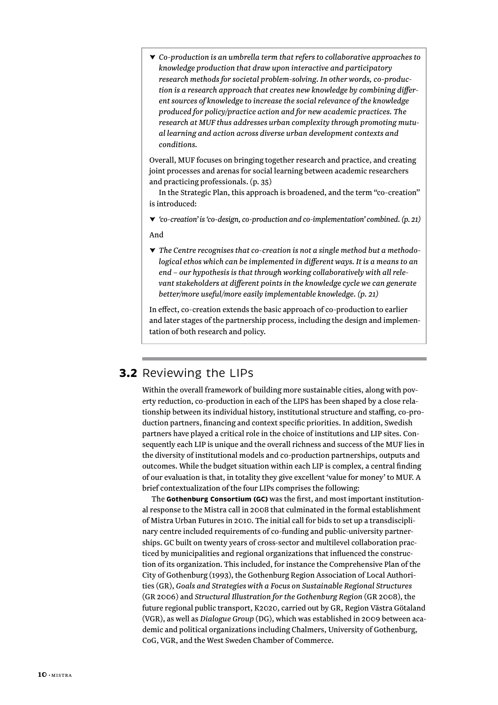<span id="page-11-0"></span>*▼ Co-production is an umbrella term that refers to collaborative approaches to knowledge production that draw upon interactive and participatory research methods for societal problem-solving. In other words, co-production is a research approach that creates new knowledge by combining different sources of knowledge to increase the social relevance of the knowledge produced for policy/practice action and for new academic practices. The research at MUF thus addresses urban complexity through promoting mutual learning and action across diverse urban development contexts and conditions.*

Overall, MUF focuses on bringing together research and practice, and creating joint processes and arenas for social learning between academic researchers and practicing professionals. (p. 35)

In the Strategic Plan, this approach is broadened, and the term "co-creation" is introduced:

*▼ 'co-creation' is 'co-design, co-production and co-implementation' combined. (p. 21)*

And

*▼ The Centre recognises that co-creation is not a single method but a methodological ethos which can be implemented in different ways. It is a means to an end – our hypothesis is that through working collaboratively with all relevant stakeholders at different points in the knowledge cycle we can generate better/more useful/more easily implementable knowledge. (p. 21)*

In effect, co-creation extends the basic approach of co-production to earlier and later stages of the partnership process, including the design and implementation of both research and policy.

## **3.2** Reviewing the LIPs

Within the overall framework of building more sustainable cities, along with poverty reduction, co-production in each of the LIPS has been shaped by a close relationship between its individual history, institutional structure and staffing, co-production partners, financing and context specific priorities. In addition, Swedish partners have played a critical role in the choice of institutions and LIP sites. Consequently each LIP is unique and the overall richness and success of the MUF lies in the diversity of institutional models and co-production partnerships, outputs and outcomes. While the budget situation within each LIP is complex, a central finding of our evaluation is that, in totality they give excellent 'value for money' to MUF. A brief contextualization of the four LIPs comprises the following:

The **Gothenburg Consortium (GC)** was the first, and most important institutional response to the Mistra call in 2008 that culminated in the formal establishment of Mistra Urban Futures in 2010. The initial call for bids to set up a transdisciplinary centre included requirements of co-funding and public-university partnerships. GC built on twenty years of cross-sector and multilevel collaboration practiced by municipalities and regional organizations that influenced the construction of its organization. This included, for instance the Comprehensive Plan of the City of Gothenburg (1993), the Gothenburg Region Association of Local Authorities (GR), *Goals and Strategies with a Focus on Sustainable Regional Structures* (GR 2006) and *Structural Illustration for the Gothenburg Region* (GR 2008), the future regional public transport, K2020, carried out by GR, Region Västra Götaland (VGR), as well as *Dialogue Group* (DG), which was established in 2009 between academic and political organizations including Chalmers, University of Gothenburg, CoG, VGR, and the West Sweden Chamber of Commerce.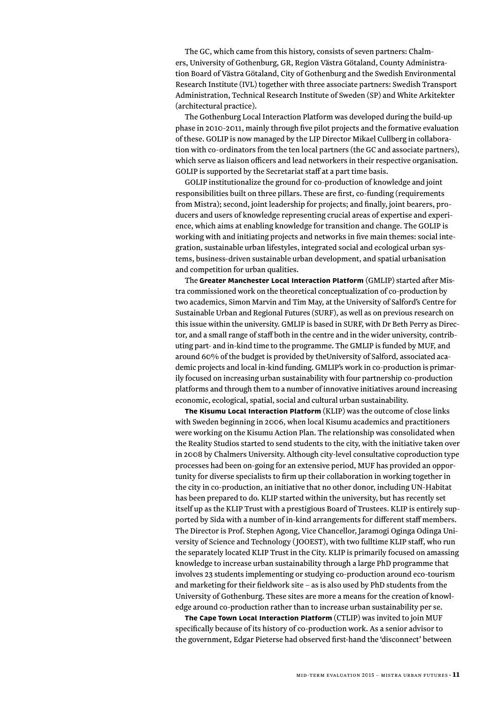The GC, which came from this history, consists of seven partners: Chalmers, University of Gothenburg, GR, Region Västra Götaland, County Administration Board of Västra Götaland, City of Gothenburg and the Swedish Environmental Research Institute (IVL) together with three associate partners: Swedish Transport Administration, Technical Research Institute of Sweden (SP) and White Arkitekter (architectural practice).

The Gothenburg Local Interaction Platform was developed during the build-up phase in 2010-2011, mainly through five pilot projects and the formative evaluation of these. GOLIP is now managed by the LIP Director Mikael Cullberg in collaboration with co-ordinators from the ten local partners (the GC and associate partners), which serve as liaison officers and lead networkers in their respective organisation. GOLIP is supported by the Secretariat staff at a part time basis.

GOLIP institutionalize the ground for co-production of knowledge and joint responsibilities built on three pillars. These are first, co-funding (requirements from Mistra); second, joint leadership for projects; and finally, joint bearers, producers and users of knowledge representing crucial areas of expertise and experience, which aims at enabling knowledge for transition and change. The GOLIP is working with and initiating projects and networks in five main themes: social integration, sustainable urban lifestyles, integrated social and ecological urban systems, business-driven sustainable urban development, and spatial urbanisation and competition for urban qualities.

The **Greater Manchester Local Interaction Platform** (GMLIP) started after Mistra commissioned work on the theoretical conceptualization of co-production by two academics, Simon Marvin and Tim May, at the University of Salford's Centre for Sustainable Urban and Regional Futures (SURF), as well as on previous research on this issue within the university. GMLIP is based in SURF, with Dr Beth Perry as Director, and a small range of staff both in the centre and in the wider university, contributing part- and in-kind time to the programme. The GMLIP is funded by MUF, and around 60% of the budget is provided by theUniversity of Salford, associated academic projects and local in-kind funding. GMLIP's work in co-production is primarily focused on increasing urban sustainability with four partnership co-production platforms and through them to a number of innovative initiatives around increasing economic, ecological, spatial, social and cultural urban sustainability.

**The Kisumu Local Interaction Platform** (KLIP) was the outcome of close links with Sweden beginning in 2006, when local Kisumu academics and practitioners were working on the Kisumu Action Plan. The relationship was consolidated when the Reality Studios started to send students to the city, with the initiative taken over in 2008 by Chalmers University. Although city-level consultative coproduction type processes had been on-going for an extensive period, MUF has provided an opportunity for diverse specialists to firm up their collaboration in working together in the city in co-production, an initiative that no other donor, including UN-Habitat has been prepared to do. KLIP started within the university, but has recently set itself up as the KLIP Trust with a prestigious Board of Trustees. KLIP is entirely supported by Sida with a number of in-kind arrangements for different staff members. The Director is Prof. Stephen Agong, Vice Chancellor, Jaramogi Oginga Odinga University of Science and Technology ( JOOEST), with two fulltime KLIP staff, who run the separately located KLIP Trust in the City. KLIP is primarily focused on amassing knowledge to increase urban sustainability through a large PhD programme that involves 23 students implementing or studying co-production around eco-tourism and marketing for their fieldwork site – as is also used by PhD students from the University of Gothenburg. These sites are more a means for the creation of knowledge around co-production rather than to increase urban sustainability per se.

**The Cape Town Local Interaction Platform** (CTLIP) was invited to join MUF specifically because of its history of co-production work. As a senior advisor to the government, Edgar Pieterse had observed first-hand the 'disconnect' between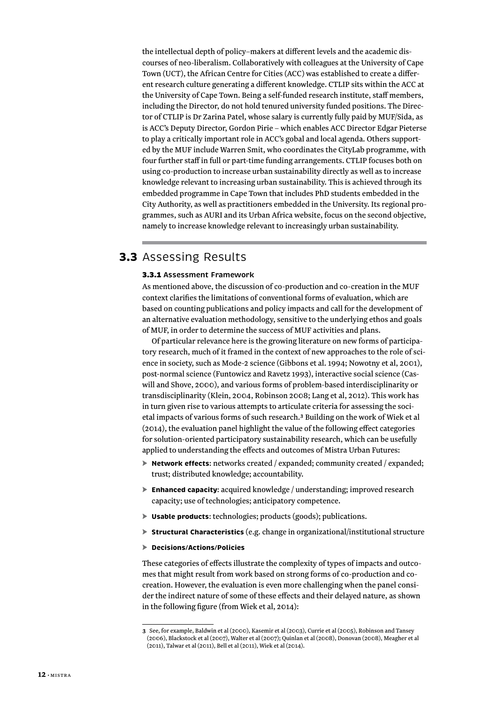<span id="page-13-0"></span>the intellectual depth of policy–makers at different levels and the academic discourses of neo-liberalism. Collaboratively with colleagues at the University of Cape Town (UCT), the African Centre for Cities (ACC) was established to create a different research culture generating a different knowledge. CTLIP sits within the ACC at the University of Cape Town. Being a self-funded research institute, staff members, including the Director, do not hold tenured university funded positions. The Director of CTLIP is Dr Zarina Patel, whose salary is currently fully paid by MUF/Sida, as is ACC's Deputy Director, Gordon Pirie – which enables ACC Director Edgar Pieterse to play a critically important role in ACC's gobal and local agenda. Others supported by the MUF include Warren Smit, who coordinates the CityLab programme, with four further staff in full or part-time funding arrangements. CTLIP focuses both on using co-production to increase urban sustainability directly as well as to increase knowledge relevant to increasing urban sustainability. This is achieved through its embedded programme in Cape Town that includes PhD students embedded in the City Authority, as well as practitioners embedded in the University. Its regional programmes, such as AURI and its Urban Africa website, focus on the second objective, namely to increase knowledge relevant to increasingly urban sustainability.

## **3.3** Assessing Results

#### 3.3.1 **Assessment Framework**

As mentioned above, the discussion of co-production and co-creation in the MUF context clarifies the limitations of conventional forms of evaluation, which are based on counting publications and policy impacts and call for the development of an alternative evaluation methodology, sensitive to the underlying ethos and goals of MUF, in order to determine the success of MUF activities and plans.

Of particular relevance here is the growing literature on new forms of participatory research, much of it framed in the context of new approaches to the role of science in society, such as Mode-2 science (Gibbons et al. 1994; Nowotny et al, 2001), post-normal science (Funtowicz and Ravetz 1993), interactive social science (Caswill and Shove, 2000), and various forms of problem-based interdisciplinarity or transdisciplinarity (Klein, 2004, Robinson 2008; Lang et al, 2012). This work has in turn given rise to various attempts to articulate criteria for assessing the societal impacts of various forms of such research.**<sup>3</sup>** Building on the work of Wiek et al (2014), the evaluation panel highlight the value of the following effect categories for solution-oriented participatory sustainability research, which can be usefully applied to understanding the effects and outcomes of Mistra Urban Futures:

- ► **Network effects**: networks created / expanded; community created / expanded; trust; distributed knowledge; accountability.
- ► **Enhanced capacity**: acquired knowledge / understanding; improved research capacity; use of technologies; anticipatory competence.
- ► **Usable products**: technologies; products (goods); publications.
- ► **Structural Characteristics** (e.g. change in organizational/institutional structure
- ► **Decisions/Actions/Policies**

These categories of effects illustrate the complexity of types of impacts and outcomes that might result from work based on strong forms of co-production and cocreation. However, the evaluation is even more challenging when the panel consider the indirect nature of some of these effects and their delayed nature, as shown in the following figure (from Wiek et al, 2014):

**<sup>3</sup>** See, for example, Baldwin et al (2000), Kasemir et al (2003), Currie et al (2005), Robinson and Tansey (2006), Blackstock et al (2007), Walter et al (2007); Quinlan et al (2008), Donovan (2008), Meagher et al (2011), Talwar et al (2011), Bell et al (2011), Wiek et al (2014).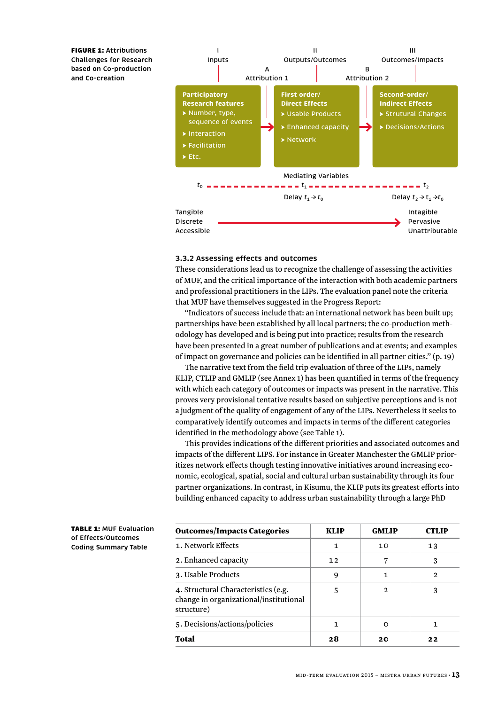FIGURE 1: **Attributions Challenges for Research based on Co-production and Co-creation**



#### **3.3.2 Assessing effects and outcomes**

These considerations lead us to recognize the challenge of assessing the activities of MUF, and the critical importance of the interaction with both academic partners and professional practitioners in the LIPs. The evaluation panel note the criteria that MUF have themselves suggested in the Progress Report:

"Indicators of success include that: an international network has been built up; partnerships have been established by all local partners; the co-production methodology has developed and is being put into practice; results from the research have been presented in a great number of publications and at events; and examples of impact on governance and policies can be identified in all partner cities." (p. 19)

The narrative text from the field trip evaluation of three of the LIPs, namely KLIP, CTLIP and GMLIP (see Annex 1) has been quantified in terms of the frequency with which each category of outcomes or impacts was present in the narrative. This proves very provisional tentative results based on subjective perceptions and is not a judgment of the quality of engagement of any of the LIPs. Nevertheless it seeks to comparatively identify outcomes and impacts in terms of the different categories identified in the methodology above (see Table 1).

This provides indications of the different priorities and associated outcomes and impacts of the different LIPS. For instance in Greater Manchester the GMLIP prioritizes network effects though testing innovative initiatives around increasing economic, ecological, spatial, social and cultural urban sustainability through its four partner organizations. In contrast, in Kisumu, the KLIP puts its greatest efforts into building enhanced capacity to address urban sustainability through a large PhD

| <b>TABLE 1: MUF Evaluation</b> |
|--------------------------------|
| of Effects/Outcomes            |
| <b>Coding Summary Table</b>    |

| <b>Outcomes/Impacts Categories</b>                                                          | <b>KLIP</b> | <b>GMLIP</b>  | стілр |
|---------------------------------------------------------------------------------------------|-------------|---------------|-------|
| 1. Network Effects                                                                          | 1           | 10            | 13    |
| 2. Enhanced capacity                                                                        | 12          |               | 3     |
| 3. Usable Products                                                                          | 9           | 1             | 2     |
| 4. Structural Characteristics (e.g.<br>change in organizational/institutional<br>structure) | 5           | $\mathcal{P}$ | 3     |
| 5. Decisions/actions/policies                                                               | 1           |               | 1     |
| <b>Total</b>                                                                                | 28          | 20            | 22    |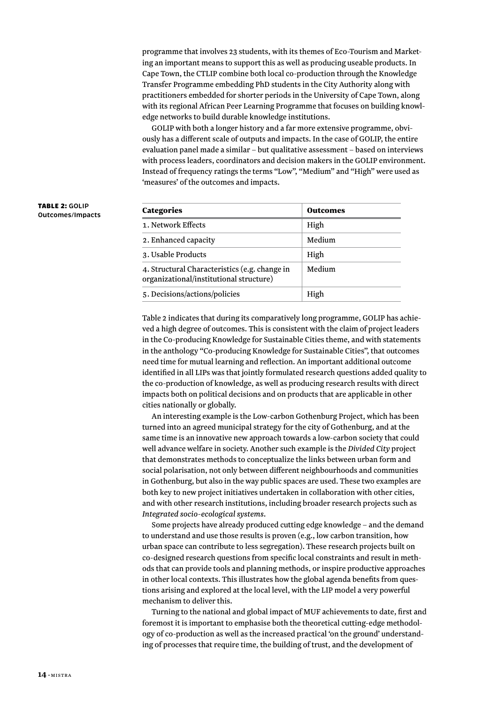programme that involves 23 students, with its themes of Eco-Tourism and Marketing an important means to support this as well as producing useable products. In Cape Town, the CTLIP combine both local co-production through the Knowledge Transfer Programme embedding PhD students in the City Authority along with practitioners embedded for shorter periods in the University of Cape Town, along with its regional African Peer Learning Programme that focuses on building knowledge networks to build durable knowledge institutions.

GOLIP with both a longer history and a far more extensive programme, obviously has a different scale of outputs and impacts. In the case of GOLIP, the entire evaluation panel made a similar – but qualitative assessment – based on interviews with process leaders, coordinators and decision makers in the GOLIP environment. Instead of frequency ratings the terms "Low", "Medium" and "High" were used as 'measures' of the outcomes and impacts.

| <b>Categories</b>                                                                        | <b>Outcomes</b> |
|------------------------------------------------------------------------------------------|-----------------|
| 1. Network Effects                                                                       | High            |
| 2. Enhanced capacity                                                                     | Medium          |
| 3. Usable Products                                                                       | High            |
| 4. Structural Characteristics (e.g. change in<br>organizational/institutional structure) | Medium          |
| 5. Decisions/actions/policies                                                            | High            |

Table 2 indicates that during its comparatively long programme, GOLIP has achieved a high degree of outcomes. This is consistent with the claim of project leaders in the Co-producing Knowledge for Sustainable Cities theme, and with statements in the anthology "Co-producing Knowledge for Sustainable Cities", that outcomes need time for mutual learning and reflection. An important additional outcome identified in all LIPs was that jointly formulated research questions added quality to the co-production of knowledge, as well as producing research results with direct impacts both on political decisions and on products that are applicable in other cities nationally or globally.

An interesting example is the Low-carbon Gothenburg Project, which has been turned into an agreed municipal strategy for the city of Gothenburg, and at the same time is an innovative new approach towards a low-carbon society that could well advance welfare in society. Another such example is the *Divided City* project that demonstrates methods to conceptualize the links between urban form and social polarisation, not only between different neighbourhoods and communities in Gothenburg, but also in the way public spaces are used. These two examples are both key to new project initiatives undertaken in collaboration with other cities, and with other research institutions, including broader research projects such as *Integrated socio-ecological systems*.

Some projects have already produced cutting edge knowledge – and the demand to understand and use those results is proven (e.g., low carbon transition, how urban space can contribute to less segregation). These research projects built on co-designed research questions from specific local constraints and result in methods that can provide tools and planning methods, or inspire productive approaches in other local contexts. This illustrates how the global agenda benefits from questions arising and explored at the local level, with the LIP model a very powerful mechanism to deliver this.

Turning to the national and global impact of MUF achievements to date, first and foremost it is important to emphasise both the theoretical cutting-edge methodology of co-production as well as the increased practical 'on the ground' understanding of processes that require time, the building of trust, and the development of

#### TABLE 2: **GOLIP Outcomes/Impacts**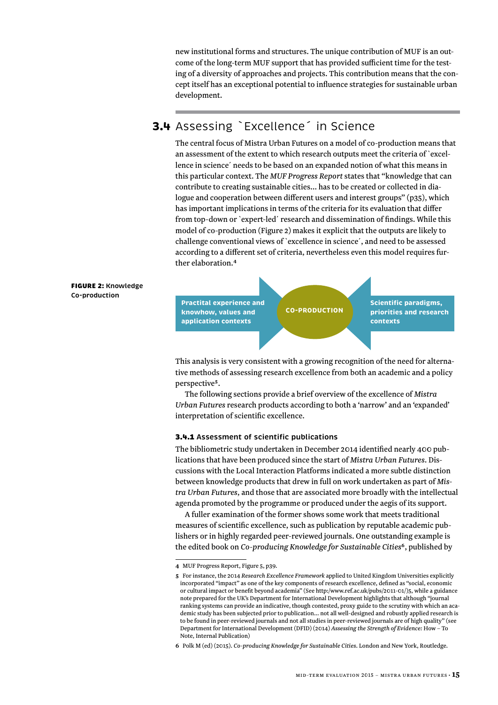<span id="page-16-0"></span>new institutional forms and structures. The unique contribution of MUF is an outcome of the long-term MUF support that has provided sufficient time for the testing of a diversity of approaches and projects. This contribution means that the concept itself has an exceptional potential to influence strategies for sustainable urban development.

## **3.4** Assessing `Excellence´ in Science

The central focus of Mistra Urban Futures on a model of co-production means that an assessment of the extent to which research outputs meet the criteria of `excellence in science´ needs to be based on an expanded notion of what this means in this particular context. The *MUF Progress Report* states that "knowledge that can contribute to creating sustainable cities… has to be created or collected in dialogue and cooperation between different users and interest groups" (p35), which has important implications in terms of the criteria for its evaluation that differ from top-down or `expert-led´ research and dissemination of findings. While this model of co-production (Figure 2) makes it explicit that the outputs are likely to challenge conventional views of `excellence in science´, and need to be assessed according to a different set of criteria, nevertheless even this model requires further elaboration.**<sup>4</sup>**



This analysis is very consistent with a growing recognition of the need for alternative methods of assessing research excellence from both an academic and a policy perspective**<sup>5</sup>**.

The following sections provide a brief overview of the excellence of *Mistra Urban Futures* research products according to both a 'narrow' and an 'expanded' interpretation of scientific excellence.

#### 3.4.1 **Assessment of scientific publications**

The bibliometric study undertaken in December 2014 identified nearly 400 publications that have been produced since the start of *Mistra Urban Futures*. Discussions with the Local Interaction Platforms indicated a more subtle distinction between knowledge products that drew in full on work undertaken as part of *Mistra Urban Futures*, and those that are associated more broadly with the intellectual agenda promoted by the programme or produced under the aegis of its support.

A fuller examination of the former shows some work that meets traditional measures of scientific excellence, such as publication by reputable academic publishers or in highly regarded peer-reviewed journals. One outstanding example is the edited book on *Co-producing Knowledge for Sustainable Cities***<sup>6</sup>**, published by

**<sup>4</sup>** MUF Progress Report, Figure 5, p39.

**<sup>5</sup>** For instance, the 2014 *Research Excellence Framework* applied to United Kingdom Universities explicitly incorporated "impact" as one of the key components of research excellence, defined as "social, economic or cultural impact or benefit beyond academia" (See http:/www.ref.ac.uk/pubs/2011-01/)5, while a guidance note prepared for the UK's Department for International Development highlights that although "journal ranking systems can provide an indicative, though contested, proxy guide to the scrutiny with which an academic study has been subjected prior to publication… not all well-designed and robustly applied research is to be found in peer-reviewed journals and not all studies in peer-reviewed journals are of high quality" (see Department for International Development (DFID) (2014) *Assessing the Strength of Evidence:* How – To Note, Internal Publication)

**<sup>6</sup>** Polk M (ed) (2015). *Co-producing Knowledge for Sustainable Cities*. London and New York, Routledge.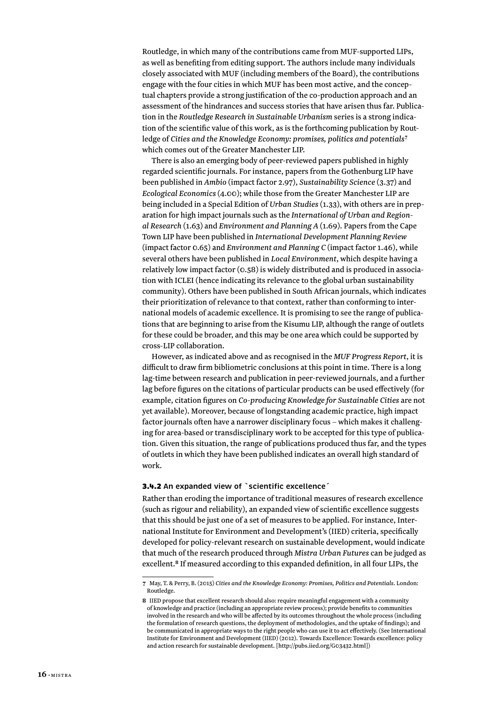<span id="page-17-0"></span>Routledge, in which many of the contributions came from MUF-supported LIPs, as well as benefiting from editing support. The authors include many individuals closely associated with MUF (including members of the Board), the contributions engage with the four cities in which MUF has been most active, and the conceptual chapters provide a strong justification of the co-production approach and an assessment of the hindrances and success stories that have arisen thus far. Publication in the *Routledge Research in Sustainable Urbanism* series is a strong indication of the scientific value of this work, as is the forthcoming publication by Routledge of *Cities and the Knowledge Economy: promises, politics and potentials***<sup>7</sup>** which comes out of the Greater Manchester LIP.

There is also an emerging body of peer-reviewed papers published in highly regarded scientific journals. For instance, papers from the Gothenburg LIP have been published in *Ambio* (impact factor 2.97), *Sustainability Science* (3.37) and *Ecological Economics* (4.00); while those from the Greater Manchester LIP are being included in a Special Edition of *Urban Studies* (1.33), with others are in preparation for high impact journals such as the *International of Urban and Regional Research* (1.63) and *Environment and Planning A* (1.69). Papers from the Cape Town LIP have been published in *International Development Planning Review* (impact factor 0.65) and *Environment and Planning C* (impact factor 1.46), while several others have been published in *Local Environment*, which despite having a relatively low impact factor (0.58) is widely distributed and is produced in association with ICLEI (hence indicating its relevance to the global urban sustainability community). Others have been published in South African journals, which indicates their prioritization of relevance to that context, rather than conforming to international models of academic excellence. It is promising to see the range of publications that are beginning to arise from the Kisumu LIP, although the range of outlets for these could be broader, and this may be one area which could be supported by cross-LIP collaboration.

However, as indicated above and as recognised in the *MUF Progress Report*, it is difficult to draw firm bibliometric conclusions at this point in time. There is a long lag-time between research and publication in peer-reviewed journals, and a further lag before figures on the citations of particular products can be used effectively (for example, citation figures on *Co-producing Knowledge for Sustainable Cities* are not yet available). Moreover, because of longstanding academic practice, high impact factor journals often have a narrower disciplinary focus – which makes it challenging for area-based or transdisciplinary work to be accepted for this type of publication. Given this situation, the range of publications produced thus far, and the types of outlets in which they have been published indicates an overall high standard of work.

#### 3.4.2 **An expanded view of `scientific excellence´**

Rather than eroding the importance of traditional measures of research excellence (such as rigour and reliability), an expanded view of scientific excellence suggests that this should be just one of a set of measures to be applied. For instance, International Institute for Environment and Development's (IIED) criteria, specifically developed for policy-relevant research on sustainable development, would indicate that much of the research produced through *Mistra Urban Futures* can be judged as excellent.**<sup>8</sup>** If measured according to this expanded definition, in all four LIPs, the

**<sup>7</sup>** May, T. & Perry, B. (2015) *Cities and the Knowledge Economy: Promises, Politics and Potentials*. London: Routledge.

**<sup>8</sup>** IIED propose that excellent research should also: require meaningful engagement with a community of knowledge and practice (including an appropriate review process); provide benefits to communities involved in the research and who will be affected by its outcomes throughout the whole process (including the formulation of research questions, the deployment of methodologies, and the uptake of findings); and be communicated in appropriate ways to the right people who can use it to act effectively. (See International Institute for Environment and Development (IIED) (2012). Towards Excellence: Towards excellence: policy and action research for sustainable development. [http://pubs.iied.org/G03432.html])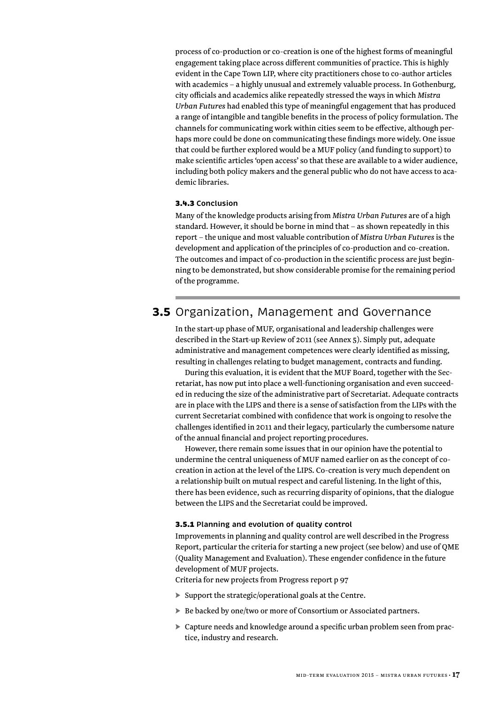<span id="page-18-0"></span>process of co-production or co-creation is one of the highest forms of meaningful engagement taking place across different communities of practice. This is highly evident in the Cape Town LIP, where city practitioners chose to co-author articles with academics – a highly unusual and extremely valuable process. In Gothenburg, city officials and academics alike repeatedly stressed the ways in which *Mistra Urban Futures* had enabled this type of meaningful engagement that has produced a range of intangible and tangible benefits in the process of policy formulation. The channels for communicating work within cities seem to be effective, although perhaps more could be done on communicating these findings more widely. One issue that could be further explored would be a MUF policy (and funding to support) to make scientific articles 'open access' so that these are available to a wider audience, including both policy makers and the general public who do not have access to academic libraries.

#### 3.4.3 **Conclusion**

Many of the knowledge products arising from *Mistra Urban Futures* are of a high standard. However, it should be borne in mind that – as shown repeatedly in this report – the unique and most valuable contribution of *Mistra Urban Futures* is the development and application of the principles of co-production and co-creation. The outcomes and impact of co-production in the scientific process are just beginning to be demonstrated, but show considerable promise for the remaining period of the programme.

## **3.5** Organization, Management and Governance

In the start-up phase of MUF, organisational and leadership challenges were described in the Start-up Review of 2011 (see Annex 5). Simply put, adequate administrative and management competences were clearly identified as missing, resulting in challenges relating to budget management, contracts and funding.

During this evaluation, it is evident that the MUF Board, together with the Secretariat, has now put into place a well-functioning organisation and even succeeded in reducing the size of the administrative part of Secretariat. Adequate contracts are in place with the LIPS and there is a sense of satisfaction from the LIPs with the current Secretariat combined with confidence that work is ongoing to resolve the challenges identified in 2011 and their legacy, particularly the cumbersome nature of the annual financial and project reporting procedures.

However, there remain some issues that in our opinion have the potential to undermine the central uniqueness of MUF named earlier on as the concept of cocreation in action at the level of the LIPS. Co-creation is very much dependent on a relationship built on mutual respect and careful listening. In the light of this, there has been evidence, such as recurring disparity of opinions, that the dialogue between the LIPS and the Secretariat could be improved.

#### 3.5.1 **Planning and evolution of quality control**

Improvements in planning and quality control are well described in the Progress Report, particular the criteria for starting a new project (see below) and use of QME (Quality Management and Evaluation). These engender confidence in the future development of MUF projects.

Criteria for new projects from Progress report p 97

- ► Support the strategic/operational goals at the Centre.
- ► Be backed by one/two or more of Consortium or Associated partners.
- ► Capture needs and knowledge around a specific urban problem seen from practice, industry and research.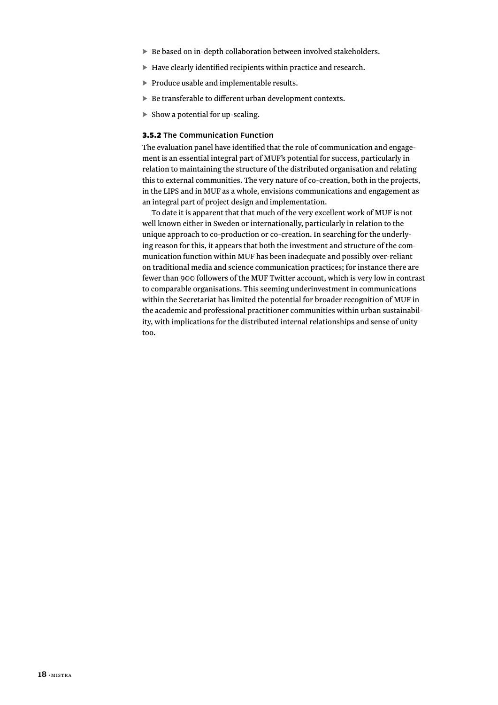- <span id="page-19-0"></span>► Be based on in-depth collaboration between involved stakeholders.
- ► Have clearly identified recipients within practice and research.
- ► Produce usable and implementable results.
- ► Be transferable to different urban development contexts.
- $\triangleright$  Show a potential for up-scaling.

#### 3.5.2 **The Communication Function**

The evaluation panel have identified that the role of communication and engagement is an essential integral part of MUF's potential for success, particularly in relation to maintaining the structure of the distributed organisation and relating this to external communities. The very nature of co-creation, both in the projects, in the LIPS and in MUF as a whole, envisions communications and engagement as an integral part of project design and implementation.

To date it is apparent that that much of the very excellent work of MUF is not well known either in Sweden or internationally, particularly in relation to the unique approach to co-production or co-creation. In searching for the underlying reason for this, it appears that both the investment and structure of the communication function within MUF has been inadequate and possibly over-reliant on traditional media and science communication practices; for instance there are fewer than 900 followers of the MUF Twitter account, which is very low in contrast to comparable organisations. This seeming underinvestment in communications within the Secretariat has limited the potential for broader recognition of MUF in the academic and professional practitioner communities within urban sustainability, with implications for the distributed internal relationships and sense of unity too.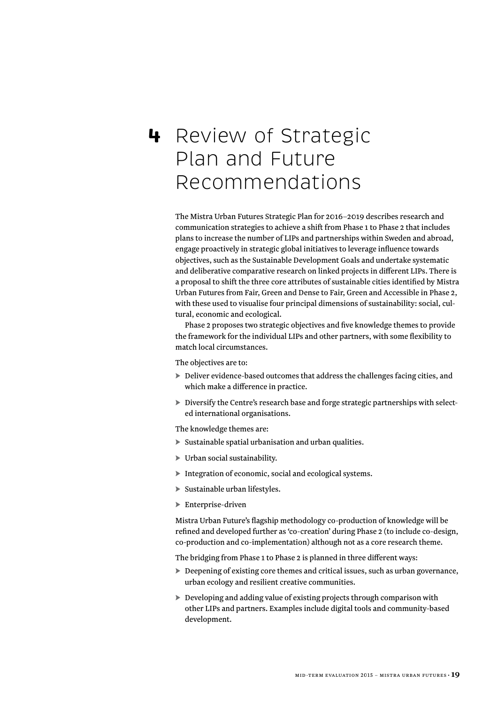## <span id="page-20-0"></span>**4** Review of Strategic Plan and Future Recommendations

The Mistra Urban Futures Strategic Plan for 2016–2019 describes research and communication strategies to achieve a shift from Phase 1 to Phase 2 that includes plans to increase the number of LIPs and partnerships within Sweden and abroad, engage proactively in strategic global initiatives to leverage influence towards objectives, such as the Sustainable Development Goals and undertake systematic and deliberative comparative research on linked projects in different LIPs. There is a proposal to shift the three core attributes of sustainable cities identified by Mistra Urban Futures from Fair, Green and Dense to Fair, Green and Accessible in Phase 2, with these used to visualise four principal dimensions of sustainability: social, cultural, economic and ecological.

Phase 2 proposes two strategic objectives and five knowledge themes to provide the framework for the individual LIPs and other partners, with some flexibility to match local circumstances.

The objectives are to:

- ► Deliver evidence-based outcomes that address the challenges facing cities, and which make a difference in practice.
- ► Diversify the Centre's research base and forge strategic partnerships with selected international organisations.

The knowledge themes are:

- ► Sustainable spatial urbanisation and urban qualities.
- ► Urban social sustainability.
- ► Integration of economic, social and ecological systems.
- ► Sustainable urban lifestyles.
- ► Enterprise-driven

Mistra Urban Future's flagship methodology co-production of knowledge will be refined and developed further as 'co-creation' during Phase 2 (to include co-design, co-production and co-implementation) although not as a core research theme.

The bridging from Phase 1 to Phase 2 is planned in three different ways:

- ► Deepening of existing core themes and critical issues, such as urban governance, urban ecology and resilient creative communities.
- ► Developing and adding value of existing projects through comparison with other LIPs and partners. Examples include digital tools and community-based development.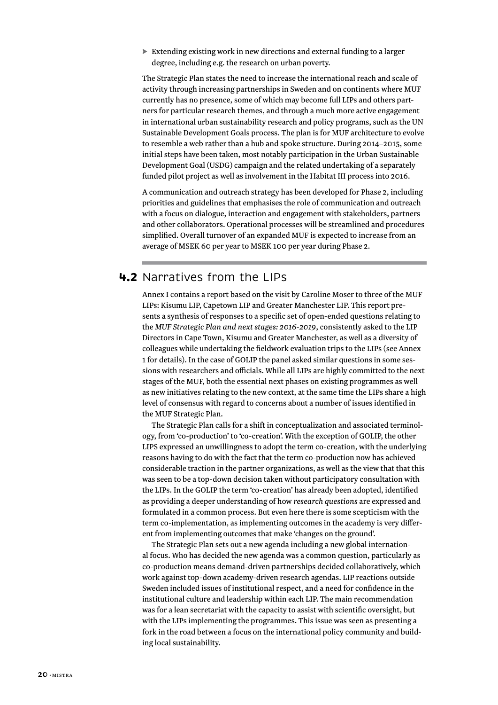<span id="page-21-0"></span>► Extending existing work in new directions and external funding to a larger degree, including e.g. the research on urban poverty.

The Strategic Plan states the need to increase the international reach and scale of activity through increasing partnerships in Sweden and on continents where MUF currently has no presence, some of which may become full LIPs and others partners for particular research themes, and through a much more active engagement in international urban sustainability research and policy programs, such as the UN Sustainable Development Goals process. The plan is for MUF architecture to evolve to resemble a web rather than a hub and spoke structure. During 2014–2015, some initial steps have been taken, most notably participation in the Urban Sustainable Development Goal (USDG) campaign and the related undertaking of a separately funded pilot project as well as involvement in the Habitat III process into 2016.

A communication and outreach strategy has been developed for Phase 2, including priorities and guidelines that emphasises the role of communication and outreach with a focus on dialogue, interaction and engagement with stakeholders, partners and other collaborators. Operational processes will be streamlined and procedures simplified. Overall turnover of an expanded MUF is expected to increase from an average of MSEK 60 per year to MSEK 100 per year during Phase 2.

### **4.2** Narratives from the LIPs

Annex I contains a report based on the visit by Caroline Moser to three of the MUF LIPs: Kisumu LIP, Capetown LIP and Greater Manchester LIP. This report presents a synthesis of responses to a specific set of open-ended questions relating to the *MUF Strategic Plan and next stages: 2016-2019*, consistently asked to the LIP Directors in Cape Town, Kisumu and Greater Manchester, as well as a diversity of colleagues while undertaking the fieldwork evaluation trips to the LIPs (see Annex 1 for details). In the case of GOLIP the panel asked similar questions in some sessions with researchers and officials. While all LIPs are highly committed to the next stages of the MUF, both the essential next phases on existing programmes as well as new initiatives relating to the new context, at the same time the LIPs share a high level of consensus with regard to concerns about a number of issues identified in the MUF Strategic Plan.

The Strategic Plan calls for a shift in conceptualization and associated terminology, from 'co-production' to 'co-creation'. With the exception of GOLIP, the other LIPS expressed an unwillingness to adopt the term co-creation, with the underlying reasons having to do with the fact that the term co-production now has achieved considerable traction in the partner organizations, as well as the view that that this was seen to be a top-down decision taken without participatory consultation with the LIPs. In the GOLIP the term 'co-creation' has already been adopted, identified as providing a deeper understanding of how *research questions* are expressed and formulated in a common process. But even here there is some scepticism with the term co-implementation, as implementing outcomes in the academy is very different from implementing outcomes that make 'changes on the ground'.

The Strategic Plan sets out a new agenda including a new global international focus. Who has decided the new agenda was a common question, particularly as co-production means demand-driven partnerships decided collaboratively, which work against top-down academy-driven research agendas. LIP reactions outside Sweden included issues of institutional respect, and a need for confidence in the institutional culture and leadership within each LIP. The main recommendation was for a lean secretariat with the capacity to assist with scientific oversight, but with the LIPs implementing the programmes. This issue was seen as presenting a fork in the road between a focus on the international policy community and building local sustainability.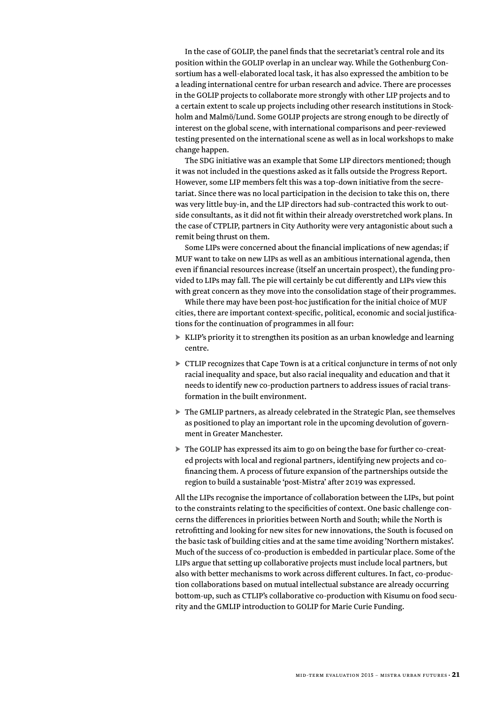In the case of GOLIP, the panel finds that the secretariat's central role and its position within the GOLIP overlap in an unclear way. While the Gothenburg Consortium has a well-elaborated local task, it has also expressed the ambition to be a leading international centre for urban research and advice. There are processes in the GOLIP projects to collaborate more strongly with other LIP projects and to a certain extent to scale up projects including other research institutions in Stockholm and Malmö/Lund. Some GOLIP projects are strong enough to be directly of interest on the global scene, with international comparisons and peer-reviewed testing presented on the international scene as well as in local workshops to make change happen.

The SDG initiative was an example that Some LIP directors mentioned; though it was not included in the questions asked as it falls outside the Progress Report. However, some LIP members felt this was a top-down initiative from the secretariat. Since there was no local participation in the decision to take this on, there was very little buy-in, and the LIP directors had sub-contracted this work to outside consultants, as it did not fit within their already overstretched work plans. In the case of CTPLIP, partners in City Authority were very antagonistic about such a remit being thrust on them.

Some LIPs were concerned about the financial implications of new agendas; if MUF want to take on new LIPs as well as an ambitious international agenda, then even if financial resources increase (itself an uncertain prospect), the funding provided to LIPs may fall. The pie will certainly be cut differently and LIPs view this with great concern as they move into the consolidation stage of their programmes.

While there may have been post-hoc justification for the initial choice of MUF cities, there are important context-specific, political, economic and social justifications for the continuation of programmes in all four:

- ► KLIP's priority it to strengthen its position as an urban knowledge and learning centre.
- ► CTLIP recognizes that Cape Town is at a critical conjuncture in terms of not only racial inequality and space, but also racial inequality and education and that it needs to identify new co-production partners to address issues of racial transformation in the built environment.
- ► The GMLIP partners, as already celebrated in the Strategic Plan, see themselves as positioned to play an important role in the upcoming devolution of government in Greater Manchester.
- ► The GOLIP has expressed its aim to go on being the base for further co-created projects with local and regional partners, identifying new projects and cofinancing them. A process of future expansion of the partnerships outside the region to build a sustainable 'post-Mistra' after 2019 was expressed.

All the LIPs recognise the importance of collaboration between the LIPs, but point to the constraints relating to the specificities of context. One basic challenge concerns the differences in priorities between North and South; while the North is retrofitting and looking for new sites for new innovations, the South is focused on the basic task of building cities and at the same time avoiding 'Northern mistakes'. Much of the success of co-production is embedded in particular place. Some of the LIPs argue that setting up collaborative projects must include local partners, but also with better mechanisms to work across different cultures. In fact, co-production collaborations based on mutual intellectual substance are already occurring bottom-up, such as CTLIP's collaborative co-production with Kisumu on food security and the GMLIP introduction to GOLIP for Marie Curie Funding.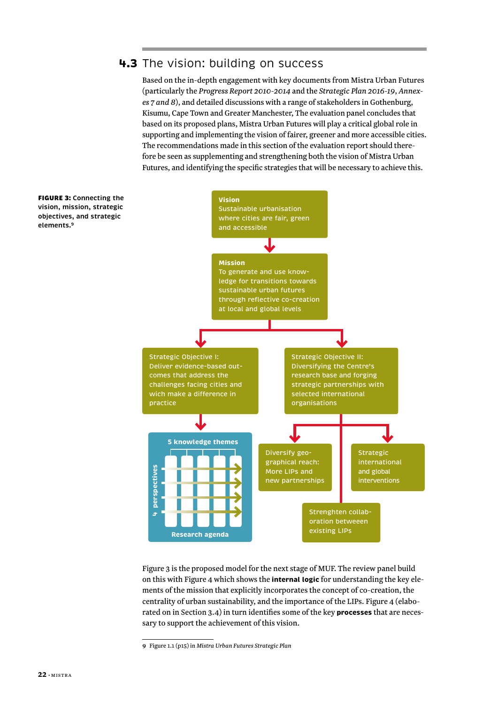### <span id="page-23-0"></span>**4.3** The vision: building on success

Based on the in-depth engagement with key documents from Mistra Urban Futures (particularly the *Progress Report 2010-2014* and the *Strategic Plan 2016-19*, *Annexes 7 and 8*), and detailed discussions with a range of stakeholders in Gothenburg, Kisumu, Cape Town and Greater Manchester, The evaluation panel concludes that based on its proposed plans, Mistra Urban Futures will play a critical global role in supporting and implementing the vision of fairer, greener and more accessible cities. The recommendations made in this section of the evaluation report should therefore be seen as supplementing and strengthening both the vision of Mistra Urban Futures, and identifying the specific strategies that will be necessary to achieve this.**<sup>9</sup>**



Figure 3 is the proposed model for the next stage of MUF. The review panel build on this with Figure 4 which shows the **internal logic** for understanding the key elements of the mission that explicitly incorporates the concept of co-creation, the centrality of urban sustainability, and the importance of the LIPs. Figure 4 (elaborated on in Section 3.4) in turn identifies some of the key **processes** that are necessary to support the achievement of this vision.

**<sup>9</sup>** Figure 1.1 (p15) in *Mistra Urban Futures Strategic Plan*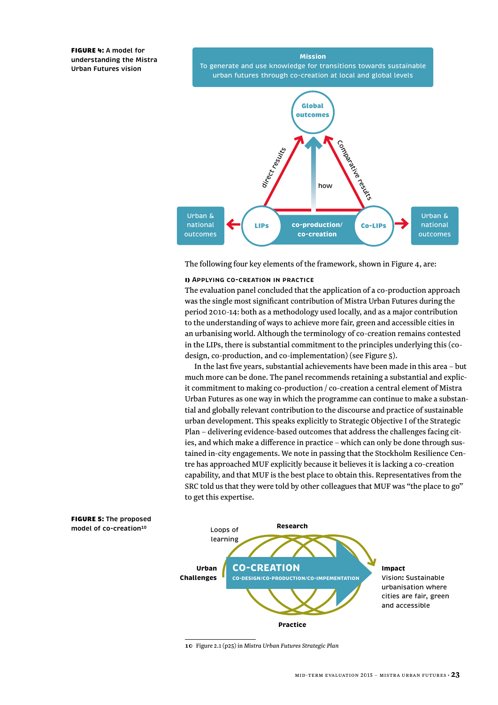FIGURE 4: **A model for understanding the Mistra Urban Futures vision**

**Mission** To generate and use knowledge for transitions towards sustainable urban futures through co-creation at local and global levels



The following four key elements of the framework, shown in Figure 4, are:

#### i) **Applying co-creation in practice**

The evaluation panel concluded that the application of a co-production approach was the single most significant contribution of Mistra Urban Futures during the period 2010-14: both as a methodology used locally, and as a major contribution to the understanding of ways to achieve more fair, green and accessible cities in an urbanising world. Although the terminology of co-creation remains contested in the LIPs, there is substantial commitment to the principles underlying this (codesign, co-production, and co-implementation) (see Figure 5).

In the last five years, substantial achievements have been made in this area – but much more can be done. The panel recommends retaining a substantial and explicit commitment to making co-production / co-creation a central element of Mistra Urban Futures as one way in which the programme can continue to make a substantial and globally relevant contribution to the discourse and practice of sustainable urban development. This speaks explicitly to Strategic Objective I of the Strategic Plan – delivering evidence-based outcomes that address the challenges facing cities, and which make a difference in practice – which can only be done through sustained in-city engagements. We note in passing that the Stockholm Resilience Centre has approached MUF explicitly because it believes it is lacking a co-creation capability, and that MUF is the best place to obtain this. Representatives from the SRC told us that they were told by other colleagues that MUF was "the place to go" to get this expertise.



**<sup>10</sup>** Figure 2.1 (p25) in *Mistra Urban Futures Strategic Plan*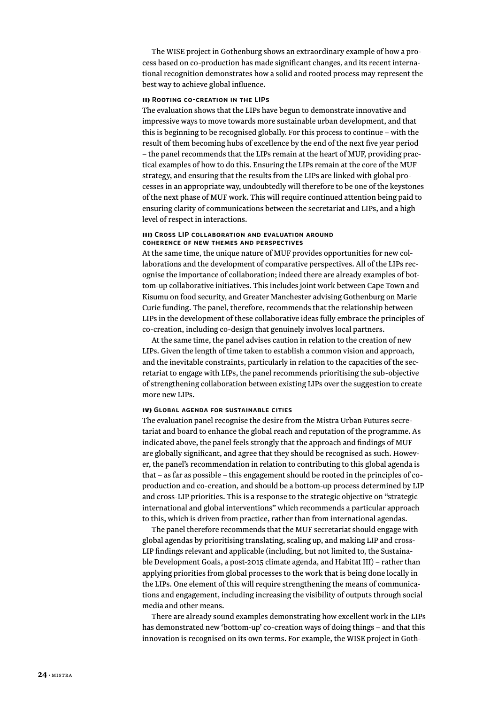The WISE project in Gothenburg shows an extraordinary example of how a process based on co-production has made significant changes, and its recent international recognition demonstrates how a solid and rooted process may represent the best way to achieve global influence.

#### ii) **Rooting co-creation in the LIPs**

The evaluation shows that the LIPs have begun to demonstrate innovative and impressive ways to move towards more sustainable urban development, and that this is beginning to be recognised globally. For this process to continue – with the result of them becoming hubs of excellence by the end of the next five year period – the panel recommends that the LIPs remain at the heart of MUF, providing practical examples of how to do this. Ensuring the LIPs remain at the core of the MUF strategy, and ensuring that the results from the LIPs are linked with global processes in an appropriate way, undoubtedly will therefore to be one of the keystones of the next phase of MUF work. This will require continued attention being paid to ensuring clarity of communications between the secretariat and LIPs, and a high level of respect in interactions.

#### iii) **Cross LIP collaboration and evaluation around coherence of new themes and perspectives**

At the same time, the unique nature of MUF provides opportunities for new collaborations and the development of comparative perspectives. All of the LIPs recognise the importance of collaboration; indeed there are already examples of bottom-up collaborative initiatives. This includes joint work between Cape Town and Kisumu on food security, and Greater Manchester advising Gothenburg on Marie Curie funding. The panel, therefore, recommends that the relationship between LIPs in the development of these collaborative ideas fully embrace the principles of co-creation, including co-design that genuinely involves local partners.

At the same time, the panel advises caution in relation to the creation of new LIPs. Given the length of time taken to establish a common vision and approach, and the inevitable constraints, particularly in relation to the capacities of the secretariat to engage with LIPs, the panel recommends prioritising the sub-objective of strengthening collaboration between existing LIPs over the suggestion to create more new LIPs.

#### iv) **Global agenda for sustainable cities**

The evaluation panel recognise the desire from the Mistra Urban Futures secretariat and board to enhance the global reach and reputation of the programme. As indicated above, the panel feels strongly that the approach and findings of MUF are globally significant, and agree that they should be recognised as such. However, the panel's recommendation in relation to contributing to this global agenda is that – as far as possible – this engagement should be rooted in the principles of coproduction and co-creation, and should be a bottom-up process determined by LIP and cross-LIP priorities. This is a response to the strategic objective on "strategic international and global interventions" which recommends a particular approach to this, which is driven from practice, rather than from international agendas.

The panel therefore recommends that the MUF secretariat should engage with global agendas by prioritising translating, scaling up, and making LIP and cross-LIP findings relevant and applicable (including, but not limited to, the Sustainable Development Goals, a post-2015 climate agenda, and Habitat III) – rather than applying priorities from global processes to the work that is being done locally in the LIPs. One element of this will require strengthening the means of communications and engagement, including increasing the visibility of outputs through social media and other means.

There are already sound examples demonstrating how excellent work in the LIPs has demonstrated new 'bottom-up' co-creation ways of doing things – and that this innovation is recognised on its own terms. For example, the WISE project in Goth-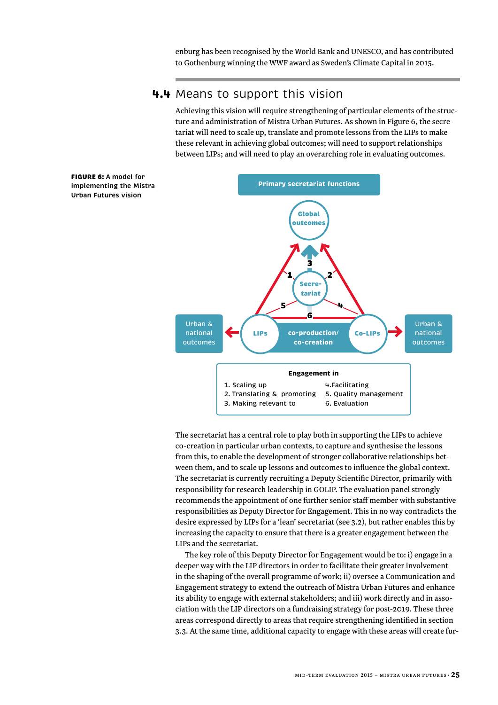enburg has been recognised by the World Bank and UNESCO, and has contributed to Gothenburg winning the WWF award as Sweden's Climate Capital in 2015.

### **4.4** Means to support this vision

Achieving this vision will require strengthening of particular elements of the structure and administration of Mistra Urban Futures. As shown in Figure 6, the secretariat will need to scale up, translate and promote lessons from the LIPs to make these relevant in achieving global outcomes; will need to support relationships between LIPs; and will need to play an overarching role in evaluating outcomes.

<span id="page-26-0"></span>

The secretariat has a central role to play both in supporting the LIPs to achieve co-creation in particular urban contexts, to capture and synthesise the lessons from this, to enable the development of stronger collaborative relationships between them, and to scale up lessons and outcomes to influence the global context. The secretariat is currently recruiting a Deputy Scientific Director, primarily with responsibility for research leadership in GOLIP. The evaluation panel strongly recommends the appointment of one further senior staff member with substantive responsibilities as Deputy Director for Engagement. This in no way contradicts the desire expressed by LIPs for a 'lean' secretariat (see 3.2), but rather enables this by increasing the capacity to ensure that there is a greater engagement between the LIPs and the secretariat.

The key role of this Deputy Director for Engagement would be to: i) engage in a deeper way with the LIP directors in order to facilitate their greater involvement in the shaping of the overall programme of work; ii) oversee a Communication and Engagement strategy to extend the outreach of Mistra Urban Futures and enhance its ability to engage with external stakeholders; and iii) work directly and in association with the LIP directors on a fundraising strategy for post-2019. These three areas correspond directly to areas that require strengthening identified in section 3.3. At the same time, additional capacity to engage with these areas will create fur-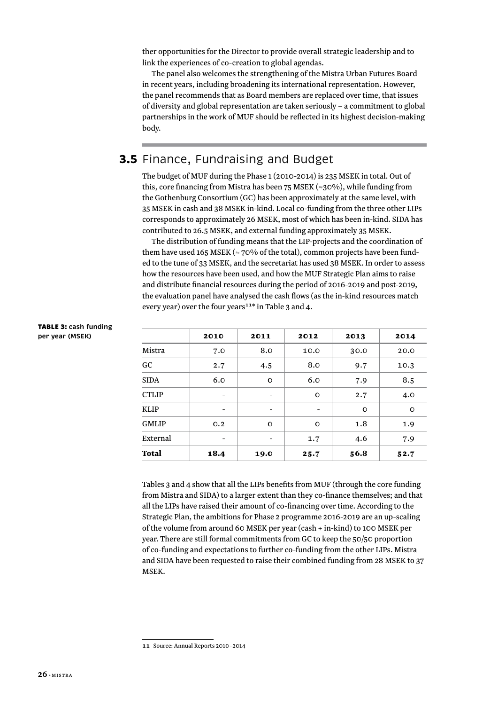<span id="page-27-0"></span>ther opportunities for the Director to provide overall strategic leadership and to link the experiences of co-creation to global agendas.

The panel also welcomes the strengthening of the Mistra Urban Futures Board in recent years, including broadening its international representation. However, the panel recommends that as Board members are replaced over time, that issues of diversity and global representation are taken seriously – a commitment to global partnerships in the work of MUF should be reflected in its highest decision-making body.

## **3.5** Finance, Fundraising and Budget

The budget of MUF during the Phase 1 (2010-2014) is 235 MSEK in total. Out of this, core financing from Mistra has been 75 MSEK ( $\approx$ 30%), while funding from the Gothenburg Consortium (GC) has been approximately at the same level, with 35 MSEK in cash and 38 MSEK in-kind. Local co-funding from the three other LIPs corresponds to approximately 26 MSEK, most of which has been in-kind. SIDA has contributed to 26.5 MSEK, and external funding approximately 35 MSEK.

The distribution of funding means that the LIP-projects and the coordination of them have used 165 MSEK ( $\approx$  70% of the total), common projects have been funded to the tune of 33 MSEK, and the secretariat has used 38 MSEK. In order to assess how the resources have been used, and how the MUF Strategic Plan aims to raise and distribute financial resources during the period of 2016-2019 and post-2019, the evaluation panel have analysed the cash flows (as the in-kind resources match every year) over the four years**<sup>11</sup>**\* in Table 3 and 4.

|              | 2010                     | 2011                     | 2012                     | 2013    | 2014     |
|--------------|--------------------------|--------------------------|--------------------------|---------|----------|
| Mistra       | 7.0                      | 8.0                      | 10.0                     | 30.0    | 20.0     |
| GC           | 2.7                      | 4.5                      | 8.0                      | 9.7     | 10.3     |
| <b>SIDA</b>  | 6.0                      | $\mathbf{O}$             | 6.0                      | 7.9     | 8.5      |
| <b>CTLIP</b> |                          | $\overline{\phantom{a}}$ | $\mathbf O$              | 2.7     | 4.0      |
| <b>KLIP</b>  | $\overline{\phantom{a}}$ | -                        | $\overline{\phantom{0}}$ | $\circ$ | $\Omega$ |
| <b>GMLIP</b> | O.2                      | $\mathbf{O}$             | $\mathbf{O}$             | 1.8     | 1.9      |
| External     |                          | -                        | 1.7                      | 4.6     | 7.9      |
| <b>Total</b> | 18.4                     | 19.0                     | 25.7                     | 56.8    | 52.7     |

TABLE 3: **cash funding per year (MSEK)**

> Tables 3 and 4 show that all the LIPs benefits from MUF (through the core funding from Mistra and SIDA) to a larger extent than they co-finance themselves; and that all the LIPs have raised their amount of co-financing over time. According to the Strategic Plan, the ambitions for Phase 2 programme 2016-2019 are an up-scaling of the volume from around 60 MSEK per year (cash + in-kind) to 100 MSEK per year. There are still formal commitments from GC to keep the 50/50 proportion of co-funding and expectations to further co-funding from the other LIPs. Mistra and SIDA have been requested to raise their combined funding from 28 MSEK to 37 MSEK.

**<sup>11</sup>** Source: Annual Reports 2010–2014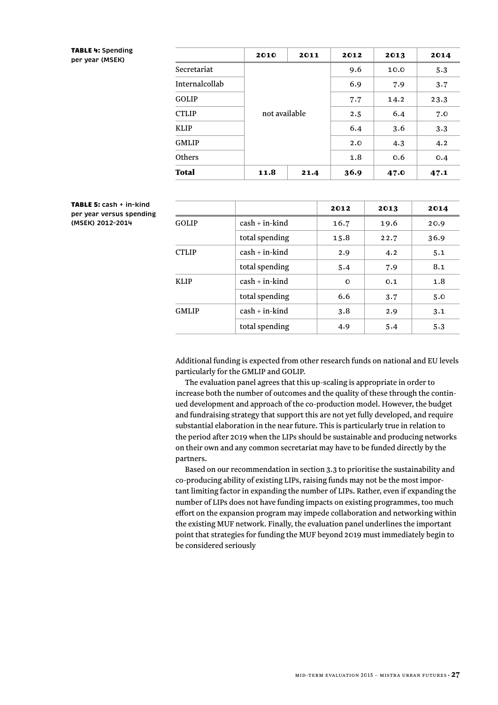#### TABLE 4: **Spending per year (MSEK)**

|                | 2010          | 2011 | 2012 | 2013 | 2014 |
|----------------|---------------|------|------|------|------|
| Secretariat    |               |      | 9.6  | 10.0 | 5.3  |
| Internalcollab |               |      | 6.9  | 7.9  | 3.7  |
| GOLIP          |               |      | 7.7  | 14.2 | 23.3 |
| <b>CTLIP</b>   | not available |      | 2.5  | 6.4  | 7.0  |
| <b>KLIP</b>    |               |      | 6.4  | 3.6  | 3.3  |
| <b>GMLIP</b>   |               |      | 2.0  | 4.3  | 4.2  |
| Others         |               |      | 1.8  | 0.6  | 0.4  |
| Total          | 11.8          | 21.4 | 36.9 | 47.0 | 47.1 |

#### TABLE 5: **cash + in-kind per year versus spending (MSEK) 2012–2014**

|              |                    | 2012     | 2013 | 2014 |
|--------------|--------------------|----------|------|------|
| <b>GOLIP</b> | $cash + in-kind$   | 16.7     | 19.6 | 20.9 |
|              | total spending     | 15.8     | 22.7 | 36.9 |
| <b>CTLIP</b> | $cash + in-kind$   | 2.9      | 4.2  | 5.1  |
|              | total spending     | 5.4      | 7.9  | 8.1  |
| <b>KLIP</b>  | $cash + in - kind$ | $\Omega$ | 0.1  | 1.8  |
|              | total spending     | 6.6      | 3.7  | 5.0  |
| <b>GMLIP</b> | $cash + in-kind$   | 3.8      | 2.9  | 3.1  |
|              | total spending     | 4.9      | 5.4  | 5.3  |

Additional funding is expected from other research funds on national and EU levels particularly for the GMLIP and GOLIP.

The evaluation panel agrees that this up-scaling is appropriate in order to increase both the number of outcomes and the quality of these through the continued development and approach of the co-production model. However, the budget and fundraising strategy that support this are not yet fully developed, and require substantial elaboration in the near future. This is particularly true in relation to the period after 2019 when the LIPs should be sustainable and producing networks on their own and any common secretariat may have to be funded directly by the partners.

Based on our recommendation in section 3.3 to prioritise the sustainability and co-producing ability of existing LIPs, raising funds may not be the most important limiting factor in expanding the number of LIPs. Rather, even if expanding the number of LIPs does not have funding impacts on existing programmes, too much effort on the expansion program may impede collaboration and networking within the existing MUF network. Finally, the evaluation panel underlines the important point that strategies for funding the MUF beyond 2019 must immediately begin to be considered seriously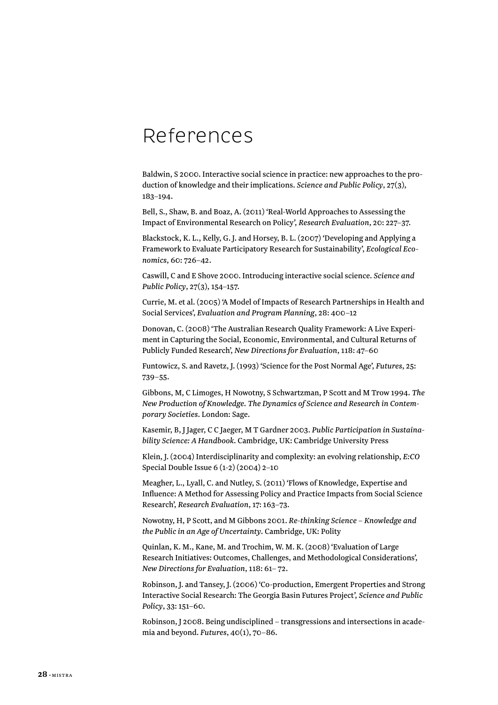## <span id="page-29-0"></span>References

Baldwin, S 2000. Interactive social science in practice: new approaches to the production of knowledge and their implications. *Science and Public Policy*, 27(3), 183–194.

Bell, S., Shaw, B. and Boaz, A. (2011) 'Real-World Approaches to Assessing the Impact of Environmental Research on Policy', *Research Evaluation*, 20: 227–37.

Blackstock, K. L., Kelly, G. J. and Horsey, B. L. (2007) 'Developing and Applying a Framework to Evaluate Participatory Research for Sustainability', *Ecological Economics*, 60: 726–42.

Caswill, C and E Shove 2000. Introducing interactive social science. *Science and Public Policy*, 27(3), 154–157.

Currie, M. et al. (2005) 'A Model of Impacts of Research Partnerships in Health and Social Services', *Evaluation and Program Planning*, 28: 400–12

Donovan, C. (2008) 'The Australian Research Quality Framework: A Live Experiment in Capturing the Social, Economic, Environmental, and Cultural Returns of Publicly Funded Research', *New Directions for Evaluation*, 118: 47–60

Funtowicz, S. and Ravetz, J. (1993) 'Science for the Post Normal Age', *Futures*, 25: 739–55.

Gibbons, M, C Limoges, H Nowotny, S Schwartzman, P Scott and M Trow 1994. *The New Production of Knowledge. The Dynamics of Science and Research in Contemporary Societies*. London: Sage.

Kasemir, B, J Jager, C C Jaeger, M T Gardner 2003. *Public Participation in Sustainability Science: A Handbook*. Cambridge, UK: Cambridge University Press

Klein, J. (2004) Interdisciplinarity and complexity: an evolving relationship, *E:CO* Special Double Issue 6 (1-2) (2004) 2–10

Meagher, L., Lyall, C. and Nutley, S. (2011) 'Flows of Knowledge, Expertise and Influence: A Method for Assessing Policy and Practice Impacts from Social Science Research', *Research Evaluation*, 17: 163–73.

Nowotny, H, P Scott, and M Gibbons 2001. *Re-thinking Science – Knowledge and the Public in an Age of Uncertainty*. Cambridge, UK: Polity

Quinlan, K. M., Kane, M. and Trochim, W. M. K. (2008) 'Evaluation of Large Research Initiatives: Outcomes, Challenges, and Methodological Considerations', *New Directions for Evaluation*, 118: 61– 72.

Robinson, J. and Tansey, J. (2006) 'Co-production, Emergent Properties and Strong Interactive Social Research: The Georgia Basin Futures Project', *Science and Public Policy*, 33: 151–60.

Robinson, J 2008. Being undisciplined – transgressions and intersections in academia and beyond. *Futures*, 40(1), 70–86.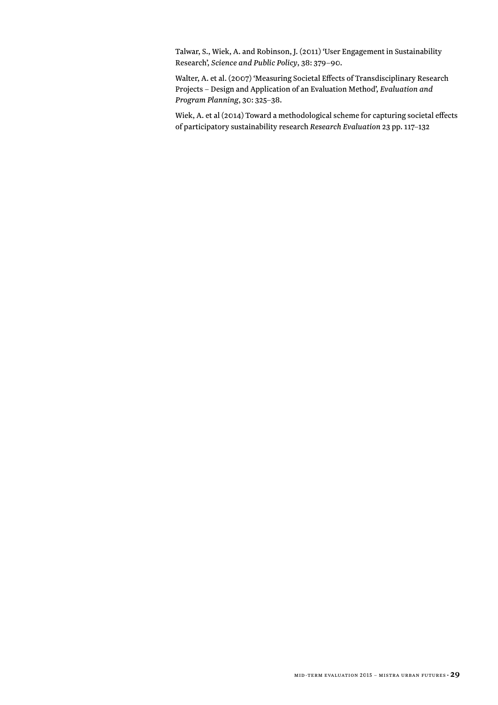Talwar, S., Wiek, A. and Robinson, J. (2011) 'User Engagement in Sustainability Research', *Science and Public Policy*, 38: 379–90.

Walter, A. et al. (2007) 'Measuring Societal Effects of Transdisciplinary Research Projects – Design and Application of an Evaluation Method', *Evaluation and Program Planning*, 30: 325–38.

Wiek, A. et al (2014) Toward a methodological scheme for capturing societal effects of participatory sustainability research *Research Evaluation* 23 pp. 117–132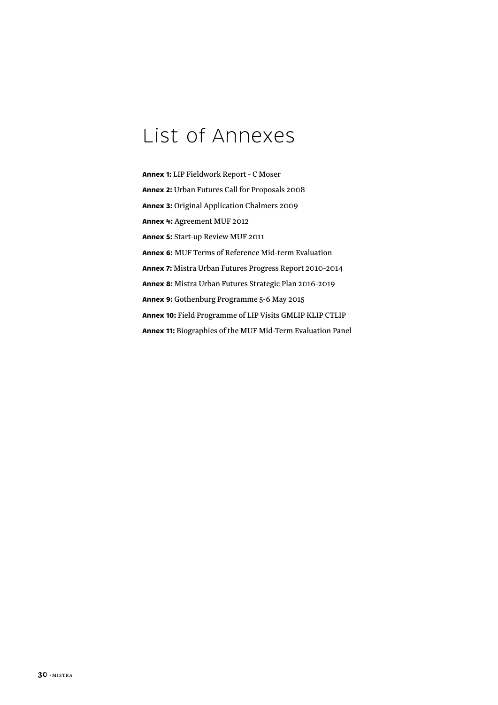## <span id="page-31-0"></span>List of Annexes

**Annex 1:** LIP Fieldwork Report - C Moser **Annex 2:** Urban Futures Call for Proposals 2008 **Annex 3:** Original Application Chalmers 2009 **Annex 4:** Agreement MUF 2012 **Annex 5:** Start-up Review MUF 2011 **Annex 6:** MUF Terms of Reference Mid-term Evaluation **Annex 7:** Mistra Urban Futures Progress Report 2010-2014 **Annex 8:** Mistra Urban Futures Strategic Plan 2016-2019 **Annex 9:** Gothenburg Programme 5-6 May 2015 **Annex 10:** Field Programme of LIP Visits GMLIP KLIP CTLIP **Annex 11:** Biographies of the MUF Mid-Term Evaluation Panel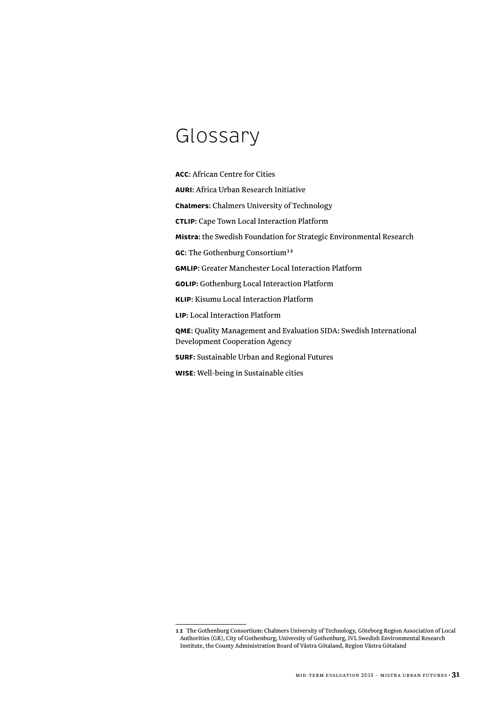## <span id="page-32-0"></span>Glossary

**ACC**: African Centre for Cities **AURI**: Africa Urban Research Initiative **Chalmers**: Chalmers University of Technology **CTLIP**: Cape Town Local Interaction Platform **Mistra**: the Swedish Foundation for Strategic Environmental Research **GC**: The Gothenburg Consortium**<sup>12</sup> GMLIP**: Greater Manchester Local Interaction Platform **GOLIP**: Gothenburg Local Interaction Platform **KLIP**: Kisumu Local Interaction Platform **LIP**: Local Interaction Platform **QME**: Quality Management and Evaluation SIDA: Swedish International Development Cooperation Agency **SURF**: Sustainable Urban and Regional Futures **WISE**: Well-being in Sustainable cities

**<sup>12</sup>** The Gothenburg Consortium: Chalmers University of Technology, Göteborg Region Association of Local Authorities (GR), City of Gothenburg, University of Gothenburg, IVL Swedish Environmental Research Institute, the County Administration Board of Västra Götaland, Region Västra Götaland